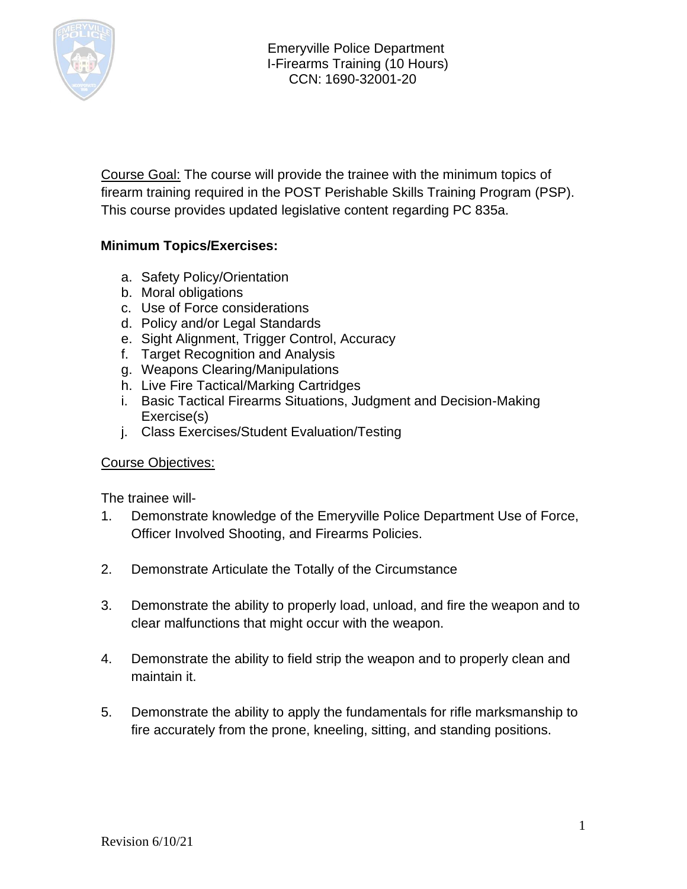

Course Goal: The course will provide the trainee with the minimum topics of firearm training required in the POST Perishable Skills Training Program (PSP). This course provides updated legislative content regarding PC 835a.

### **Minimum Topics/Exercises:**

- a. Safety Policy/Orientation
- b. Moral obligations
- c. Use of Force considerations
- d. Policy and/or Legal Standards
- e. Sight Alignment, Trigger Control, Accuracy
- f. Target Recognition and Analysis
- g. Weapons Clearing/Manipulations
- h. Live Fire Tactical/Marking Cartridges
- i. Basic Tactical Firearms Situations, Judgment and Decision-Making Exercise(s)
- j. Class Exercises/Student Evaluation/Testing

#### Course Objectives:

The trainee will-

- 1. Demonstrate knowledge of the Emeryville Police Department Use of Force, Officer Involved Shooting, and Firearms Policies.
- 2. Demonstrate Articulate the Totally of the Circumstance
- 3. Demonstrate the ability to properly load, unload, and fire the weapon and to clear malfunctions that might occur with the weapon.
- 4. Demonstrate the ability to field strip the weapon and to properly clean and maintain it.
- 5. Demonstrate the ability to apply the fundamentals for rifle marksmanship to fire accurately from the prone, kneeling, sitting, and standing positions.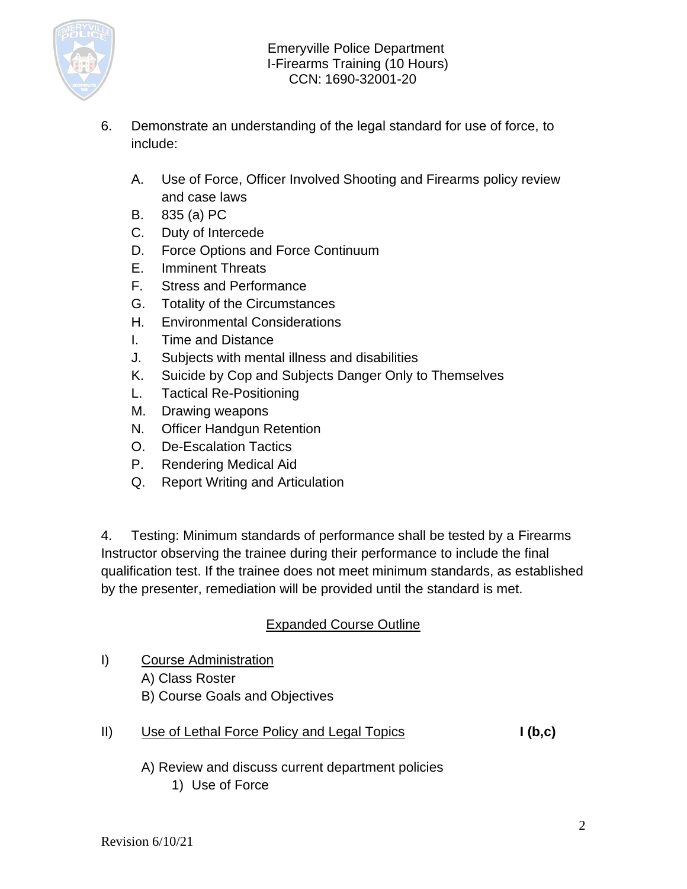

- 6. Demonstrate an understanding of the legal standard for use of force, to include:
	- A. Use of Force, Officer Involved Shooting and Firearms policy review and case laws
	- B. 835 (a) PC
	- C. Duty of Intercede
	- D. Force Options and Force Continuum
	- E. Imminent Threats
	- F. Stress and Performance
	- G. Totality of the Circumstances
	- H. Environmental Considerations
	- I. Time and Distance
	- J. Subjects with mental illness and disabilities
	- K. Suicide by Cop and Subjects Danger Only to Themselves
	- L. Tactical Re-Positioning
	- M. Drawing weapons
	- N. Officer Handgun Retention
	- O. De-Escalation Tactics
	- P. Rendering Medical Aid
	- Q. Report Writing and Articulation

4. Testing: Minimum standards of performance shall be tested by a Firearms Instructor observing the trainee during their performance to include the final qualification test. If the trainee does not meet minimum standards, as established by the presenter, remediation will be provided until the standard is met.

## Expanded Course Outline

- I) Course Administration A) Class Roster B) Course Goals and Objectives
- II) Use of Lethal Force Policy and Legal Topics **I (b,c)**
	- A) Review and discuss current department policies 1) Use of Force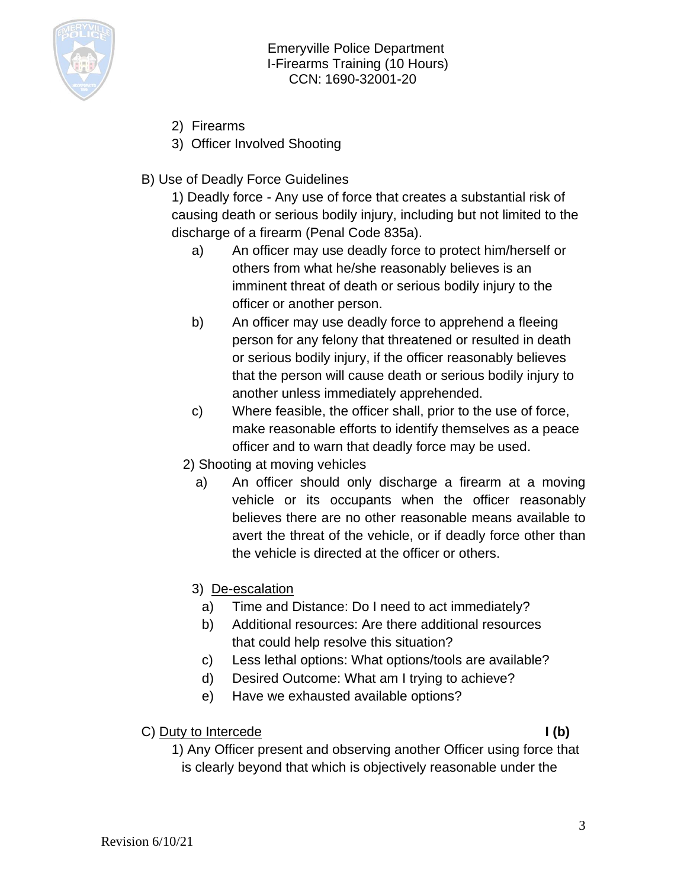

- 2) Firearms
- 3) Officer Involved Shooting
- B) Use of Deadly Force Guidelines

1) Deadly force - Any use of force that creates a substantial risk of causing death or serious bodily injury, including but not limited to the discharge of a firearm (Penal Code 835a).

- a) An officer may use deadly force to protect him/herself or others from what he/she reasonably believes is an imminent threat of death or serious bodily injury to the officer or another person.
- b) An officer may use deadly force to apprehend a fleeing person for any felony that threatened or resulted in death or serious bodily injury, if the officer reasonably believes that the person will cause death or serious bodily injury to another unless immediately apprehended.
- c) Where feasible, the officer shall, prior to the use of force, make reasonable efforts to identify themselves as a peace officer and to warn that deadly force may be used.
- 2) Shooting at moving vehicles
	- a) An officer should only discharge a firearm at a moving vehicle or its occupants when the officer reasonably believes there are no other reasonable means available to avert the threat of the vehicle, or if deadly force other than the vehicle is directed at the officer or others.
	- 3) De-escalation
		- a) Time and Distance: Do I need to act immediately?
		- b) Additional resources: Are there additional resources that could help resolve this situation?
		- c) Less lethal options: What options/tools are available?
		- d) Desired Outcome: What am I trying to achieve?
		- e) Have we exhausted available options?

### C) Duty to Intercede **I** (b)

1) Any Officer present and observing another Officer using force that is clearly beyond that which is objectively reasonable under the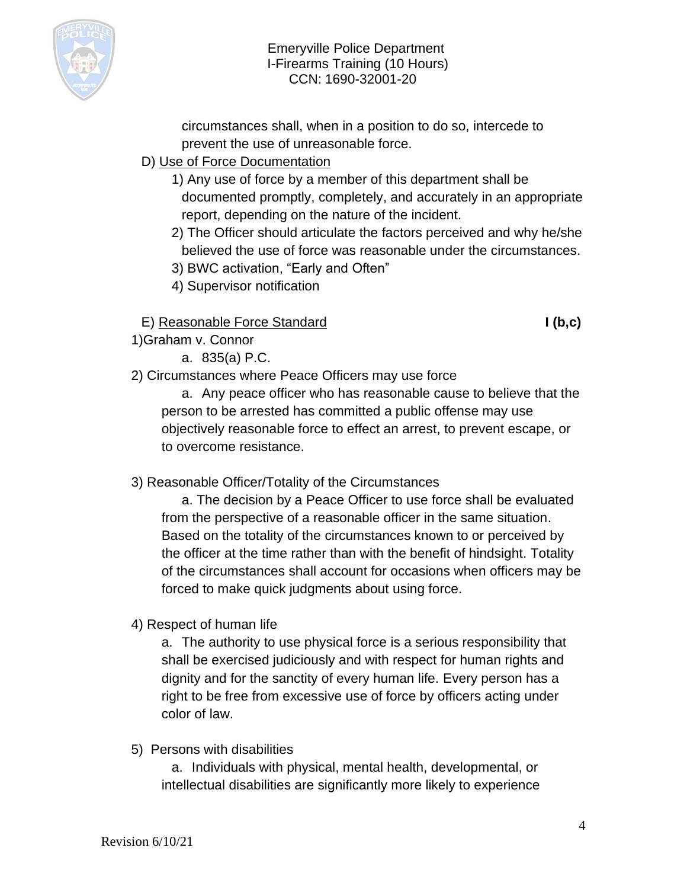

circumstances shall, when in a position to do so, intercede to prevent the use of unreasonable force.

## D) Use of Force Documentation

- 1) Any use of force by a member of this department shall be documented promptly, completely, and accurately in an appropriate report, depending on the nature of the incident.
- 2) The Officer should articulate the factors perceived and why he/she believed the use of force was reasonable under the circumstances.
- 3) BWC activation, "Early and Often"
- 4) Supervisor notification

## E) Reasonable Force Standard **I (b,c)**

- 1)Graham v. Connor
	- a. 835(a) P.C.
- 2) Circumstances where Peace Officers may use force

a. Any peace officer who has reasonable cause to believe that the person to be arrested has committed a public offense may use objectively reasonable force to effect an arrest, to prevent escape, or to overcome resistance.

## 3) Reasonable Officer/Totality of the Circumstances

a. The decision by a Peace Officer to use force shall be evaluated from the perspective of a reasonable officer in the same situation. Based on the totality of the circumstances known to or perceived by the officer at the time rather than with the benefit of hindsight. Totality of the circumstances shall account for occasions when officers may be forced to make quick judgments about using force.

4) Respect of human life

a. The authority to use physical force is a serious responsibility that shall be exercised judiciously and with respect for human rights and dignity and for the sanctity of every human life. Every person has a right to be free from excessive use of force by officers acting under color of law.

5) Persons with disabilities

a. Individuals with physical, mental health, developmental, or intellectual disabilities are significantly more likely to experience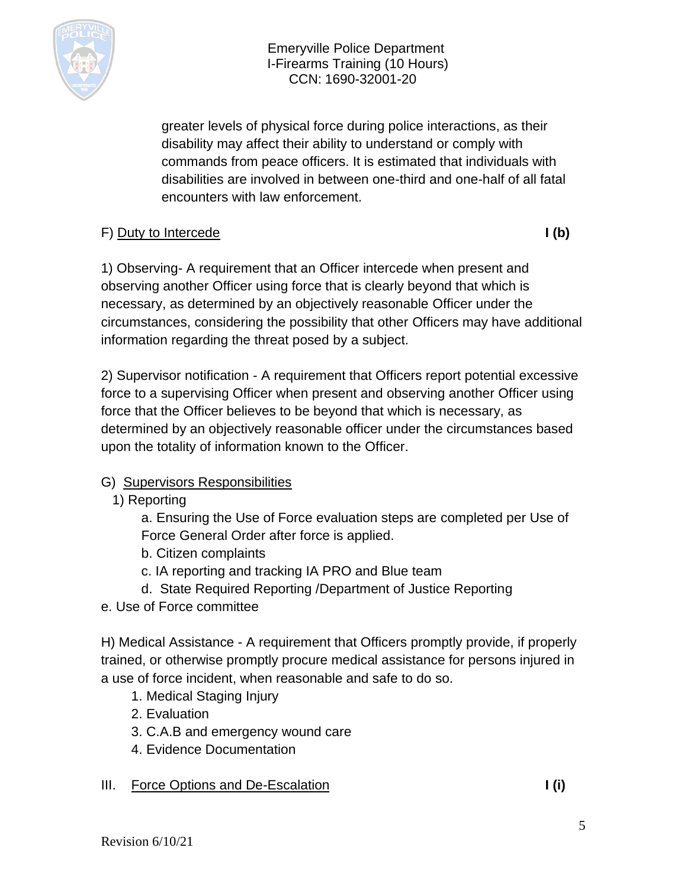

greater levels of physical force during police interactions, as their disability may affect their ability to understand or comply with commands from peace officers. It is estimated that individuals with disabilities are involved in between one-third and one-half of all fatal encounters with law enforcement.

## F) Duty to Intercede **I** (b)

1) Observing- A requirement that an Officer intercede when present and observing another Officer using force that is clearly beyond that which is necessary, as determined by an objectively reasonable Officer under the circumstances, considering the possibility that other Officers may have additional information regarding the threat posed by a subject.

2) Supervisor notification - A requirement that Officers report potential excessive force to a supervising Officer when present and observing another Officer using force that the Officer believes to be beyond that which is necessary, as determined by an objectively reasonable officer under the circumstances based upon the totality of information known to the Officer.

## G) Supervisors Responsibilities

1) Reporting

a. Ensuring the Use of Force evaluation steps are completed per Use of Force General Order after force is applied.

- b. Citizen complaints
- c. IA reporting and tracking IA PRO and Blue team
- d. State Required Reporting /Department of Justice Reporting
- e. Use of Force committee

H) Medical Assistance - A requirement that Officers promptly provide, if properly trained, or otherwise promptly procure medical assistance for persons injured in a use of force incident, when reasonable and safe to do so.

- 1. Medical Staging Injury
- 2. Evaluation
- 3. C.A.B and emergency wound care
- 4. Evidence Documentation

## III. Force Options and De-Escalation **I (i) I** (i)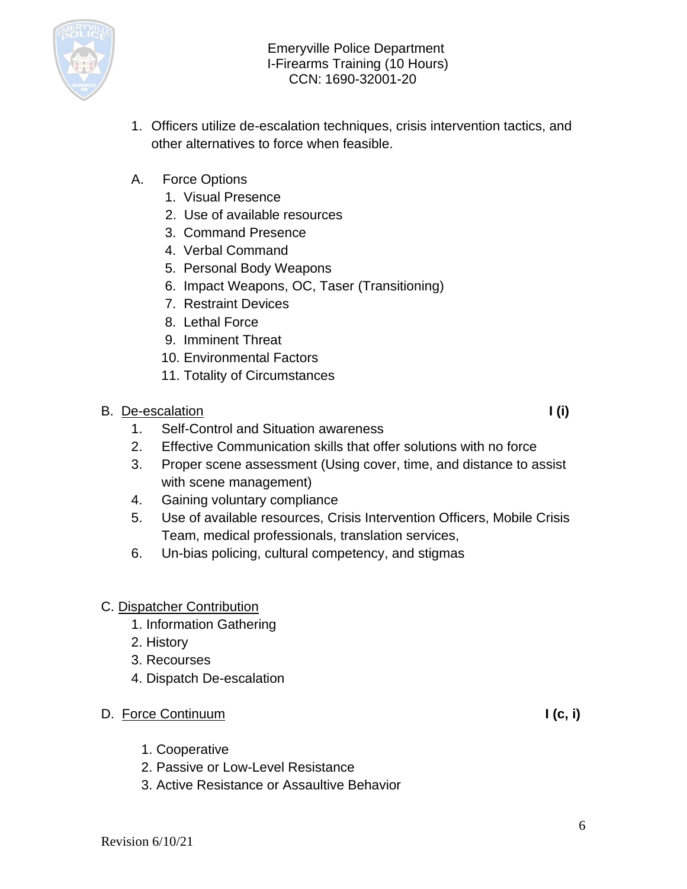

- 1. Officers utilize de-escalation techniques, crisis intervention tactics, and other alternatives to force when feasible.
- A. Force Options
	- 1. Visual Presence
	- 2. Use of available resources
	- 3. Command Presence
	- 4. Verbal Command
	- 5. Personal Body Weapons
	- 6. Impact Weapons, OC, Taser (Transitioning)
	- 7. Restraint Devices
	- 8. Lethal Force
	- 9. Imminent Threat
	- 10. Environmental Factors
	- 11. Totality of Circumstances
- B. De-escalation **I** (i)
	- 1. Self-Control and Situation awareness
	- 2. Effective Communication skills that offer solutions with no force
	- 3. Proper scene assessment (Using cover, time, and distance to assist with scene management)
	- 4. Gaining voluntary compliance
	- 5. Use of available resources, Crisis Intervention Officers, Mobile Crisis Team, medical professionals, translation services,
	- 6. Un-bias policing, cultural competency, and stigmas

## C. Dispatcher Contribution

- 1. Information Gathering
- 2. History
- 3. Recourses
- 4. Dispatch De-escalation

## D. Force Continuum **I (c, i)**

- 1. Cooperative
- 2. Passive or Low-Level Resistance
- 3. Active Resistance or Assaultive Behavior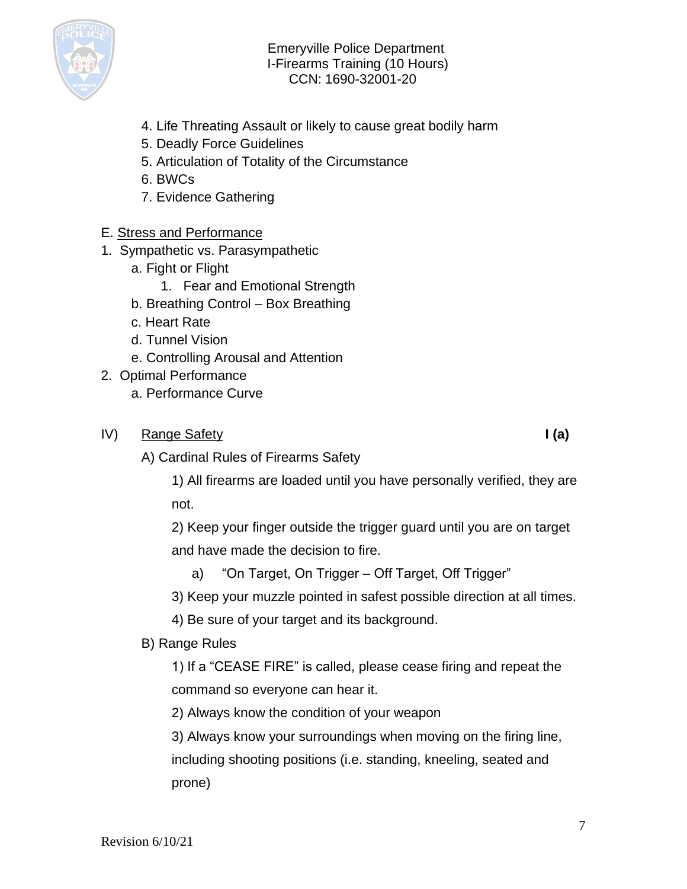

- 4. Life Threating Assault or likely to cause great bodily harm
- 5. Deadly Force Guidelines
- 5. Articulation of Totality of the Circumstance
- 6. BWCs
- 7. Evidence Gathering

#### E. Stress and Performance

- 1. Sympathetic vs. Parasympathetic
	- a. Fight or Flight
		- 1. Fear and Emotional Strength
	- b. Breathing Control Box Breathing
	- c. Heart Rate
	- d. Tunnel Vision
	- e. Controlling Arousal and Attention
- 2. Optimal Performance
	- a. Performance Curve
- IV) Range Safety **I (a)**

A) Cardinal Rules of Firearms Safety

1) All firearms are loaded until you have personally verified, they are not.

2) Keep your finger outside the trigger guard until you are on target and have made the decision to fire.

a) "On Target, On Trigger – Off Target, Off Trigger"

3) Keep your muzzle pointed in safest possible direction at all times.

4) Be sure of your target and its background.

### B) Range Rules

1) If a "CEASE FIRE" is called, please cease firing and repeat the command so everyone can hear it.

2) Always know the condition of your weapon

3) Always know your surroundings when moving on the firing line, including shooting positions (i.e. standing, kneeling, seated and prone)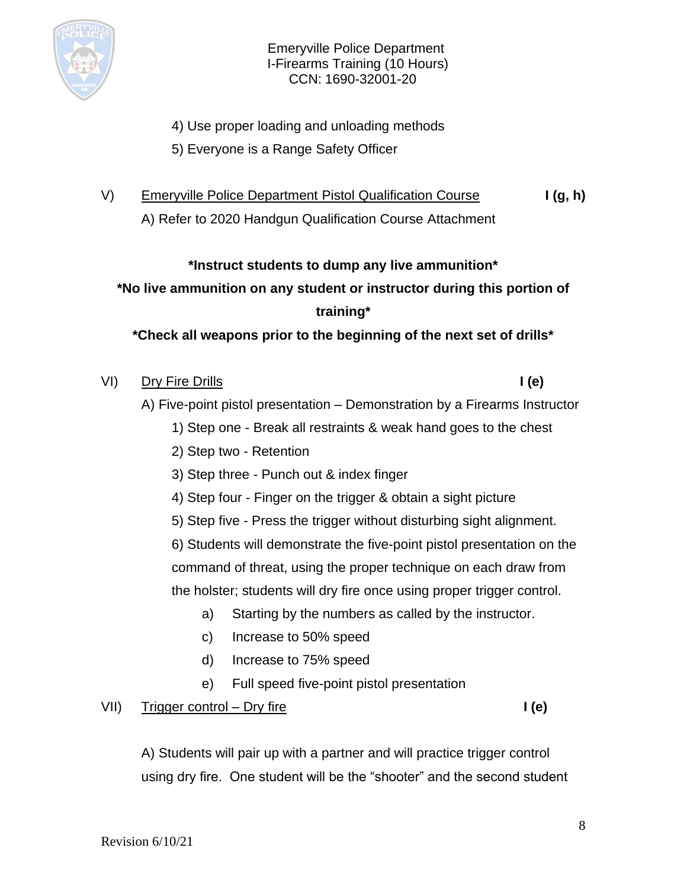

- 4) Use proper loading and unloading methods
- 5) Everyone is a Range Safety Officer
- V) Emeryville Police Department Pistol Qualification Course **I (g, h)**

A) Refer to 2020 Handgun Qualification Course Attachment

#### **\*Instruct students to dump any live ammunition\***

**\*No live ammunition on any student or instructor during this portion of training\***

**\*Check all weapons prior to the beginning of the next set of drills\***

| VI) | Dry Fire Drills | l (e) |
|-----|-----------------|-------|
|-----|-----------------|-------|

- A) Five-point pistol presentation Demonstration by a Firearms Instructor
	- 1) Step one Break all restraints & weak hand goes to the chest
	- 2) Step two Retention
	- 3) Step three Punch out & index finger
	- 4) Step four Finger on the trigger & obtain a sight picture
	- 5) Step five Press the trigger without disturbing sight alignment.

6) Students will demonstrate the five-point pistol presentation on the command of threat, using the proper technique on each draw from the holster; students will dry fire once using proper trigger control.

- a) Starting by the numbers as called by the instructor.
- c) Increase to 50% speed
- d) Increase to 75% speed
- e) Full speed five-point pistol presentation

### VII) Trigger control – Dry fire **I** (e)

A) Students will pair up with a partner and will practice trigger control using dry fire. One student will be the "shooter" and the second student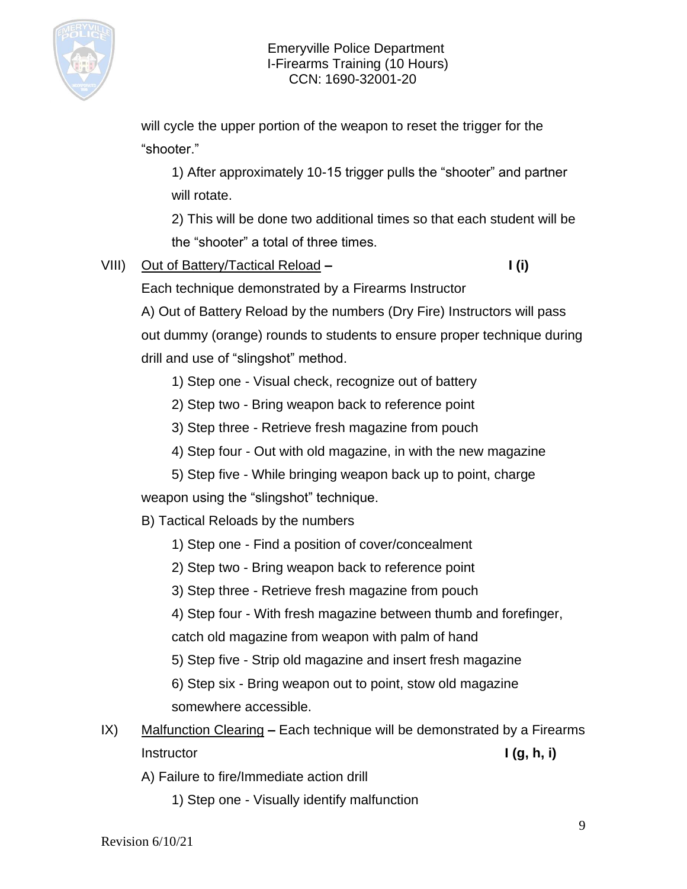

will cycle the upper portion of the weapon to reset the trigger for the "shooter."

1) After approximately 10-15 trigger pulls the "shooter" and partner will rotate.

2) This will be done two additional times so that each student will be the "shooter" a total of three times.

- VIII) Out of Battery/Tactical Reload **– I (i)**
- 

Each technique demonstrated by a Firearms Instructor

A) Out of Battery Reload by the numbers (Dry Fire) Instructors will pass out dummy (orange) rounds to students to ensure proper technique during drill and use of "slingshot" method.

- 1) Step one Visual check, recognize out of battery
- 2) Step two Bring weapon back to reference point
- 3) Step three Retrieve fresh magazine from pouch
- 4) Step four Out with old magazine, in with the new magazine
- 5) Step five While bringing weapon back up to point, charge

weapon using the "slingshot" technique.

- B) Tactical Reloads by the numbers
	- 1) Step one Find a position of cover/concealment
	- 2) Step two Bring weapon back to reference point
	- 3) Step three Retrieve fresh magazine from pouch

4) Step four - With fresh magazine between thumb and forefinger, catch old magazine from weapon with palm of hand

- 5) Step five Strip old magazine and insert fresh magazine
- 6) Step six Bring weapon out to point, stow old magazine somewhere accessible.
- IX) Malfunction Clearing **–** Each technique will be demonstrated by a Firearms Instructor **I** (g, h, i)
	- A) Failure to fire/Immediate action drill
		- 1) Step one Visually identify malfunction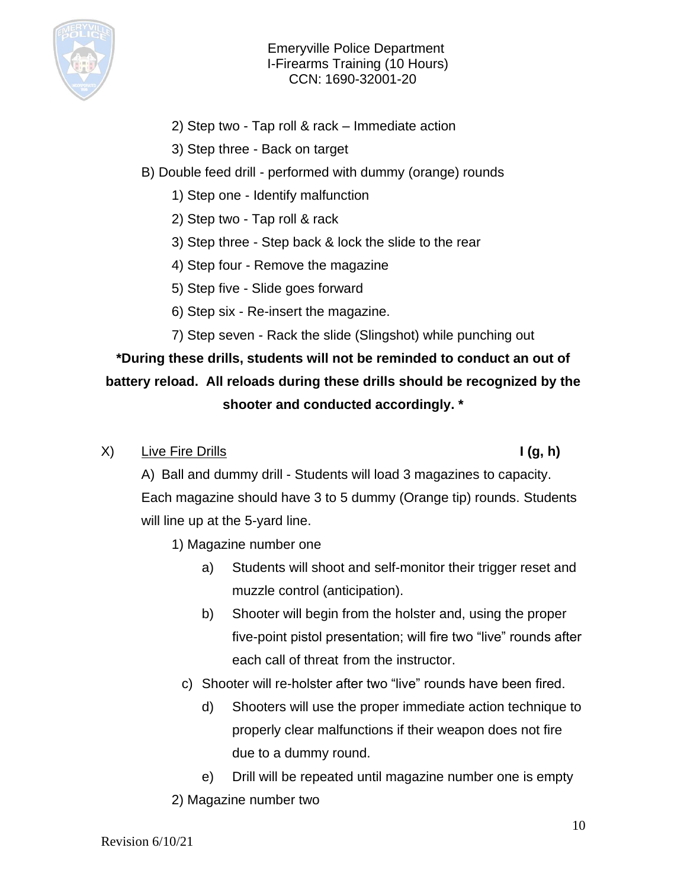

- 2) Step two Tap roll & rack Immediate action
- 3) Step three Back on target
- B) Double feed drill performed with dummy (orange) rounds
	- 1) Step one Identify malfunction
	- 2) Step two Tap roll & rack
	- 3) Step three Step back & lock the slide to the rear
	- 4) Step four Remove the magazine
	- 5) Step five Slide goes forward
	- 6) Step six Re-insert the magazine.
	- 7) Step seven Rack the slide (Slingshot) while punching out

# **\*During these drills, students will not be reminded to conduct an out of battery reload. All reloads during these drills should be recognized by the shooter and conducted accordingly. \***

X) Live Fire Drills **I (g, h)**

A) Ball and dummy drill - Students will load 3 magazines to capacity. Each magazine should have 3 to 5 dummy (Orange tip) rounds. Students will line up at the 5-yard line.

- 1) Magazine number one
	- a) Students will shoot and self-monitor their trigger reset and muzzle control (anticipation).
	- b) Shooter will begin from the holster and, using the proper five-point pistol presentation; will fire two "live" rounds after each call of threat from the instructor.
	- c) Shooter will re-holster after two "live" rounds have been fired.
		- d) Shooters will use the proper immediate action technique to properly clear malfunctions if their weapon does not fire due to a dummy round.

e) Drill will be repeated until magazine number one is empty 2) Magazine number two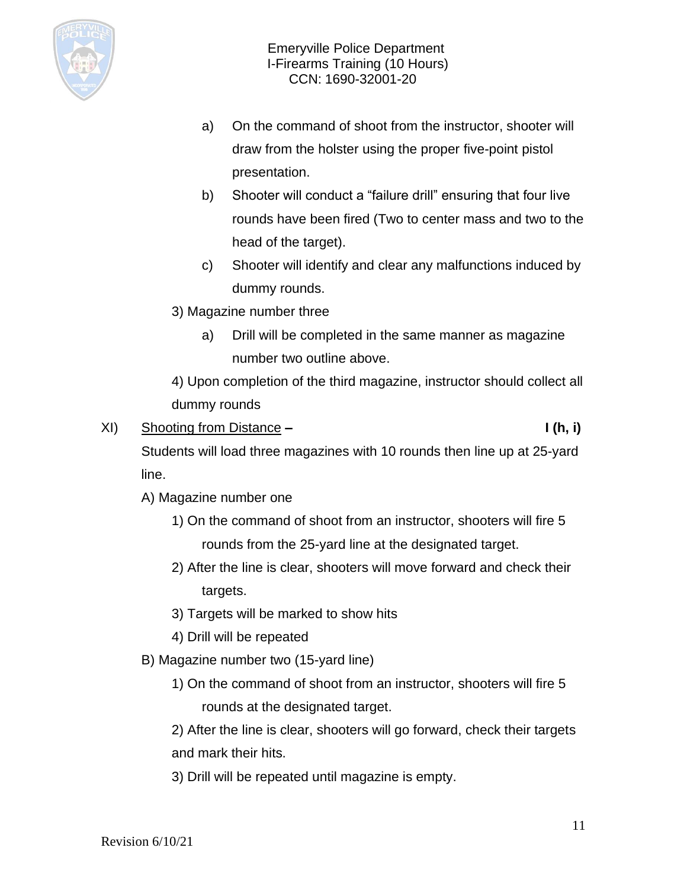

- a) On the command of shoot from the instructor, shooter will draw from the holster using the proper five-point pistol presentation.
- b) Shooter will conduct a "failure drill" ensuring that four live rounds have been fired (Two to center mass and two to the head of the target).
- c) Shooter will identify and clear any malfunctions induced by dummy rounds.
- 3) Magazine number three
	- a) Drill will be completed in the same manner as magazine number two outline above.

4) Upon completion of the third magazine, instructor should collect all dummy rounds

XI) Shooting from Distance **– I (h, i)**

Students will load three magazines with 10 rounds then line up at 25-yard line.

- A) Magazine number one
	- 1) On the command of shoot from an instructor, shooters will fire 5 rounds from the 25-yard line at the designated target.
	- 2) After the line is clear, shooters will move forward and check their targets.
	- 3) Targets will be marked to show hits
	- 4) Drill will be repeated
- B) Magazine number two (15-yard line)
	- 1) On the command of shoot from an instructor, shooters will fire 5 rounds at the designated target.

2) After the line is clear, shooters will go forward, check their targets and mark their hits.

3) Drill will be repeated until magazine is empty.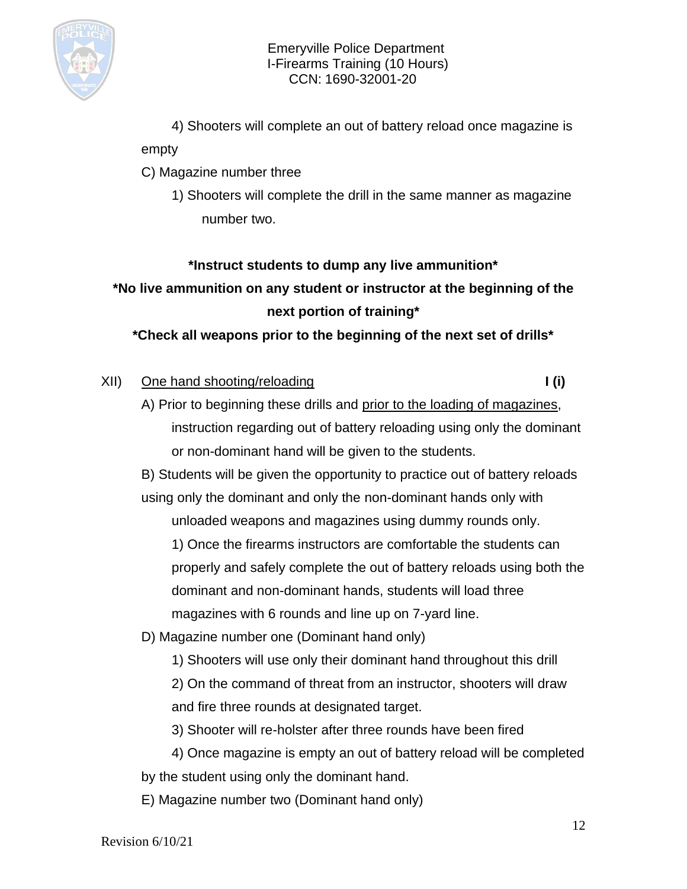

4) Shooters will complete an out of battery reload once magazine is

#### empty

- C) Magazine number three
	- 1) Shooters will complete the drill in the same manner as magazine number two.

## **\*Instruct students to dump any live ammunition\***

**\*No live ammunition on any student or instructor at the beginning of the next portion of training\***

**\*Check all weapons prior to the beginning of the next set of drills\***

### XII) One hand shooting/reloading **I (i)** I (i)

A) Prior to beginning these drills and prior to the loading of magazines, instruction regarding out of battery reloading using only the dominant or non-dominant hand will be given to the students.

B) Students will be given the opportunity to practice out of battery reloads using only the dominant and only the non-dominant hands only with unloaded weapons and magazines using dummy rounds only.

1) Once the firearms instructors are comfortable the students can properly and safely complete the out of battery reloads using both the dominant and non-dominant hands, students will load three magazines with 6 rounds and line up on 7-yard line.

D) Magazine number one (Dominant hand only)

1) Shooters will use only their dominant hand throughout this drill

2) On the command of threat from an instructor, shooters will draw and fire three rounds at designated target.

3) Shooter will re-holster after three rounds have been fired

4) Once magazine is empty an out of battery reload will be completed by the student using only the dominant hand.

E) Magazine number two (Dominant hand only)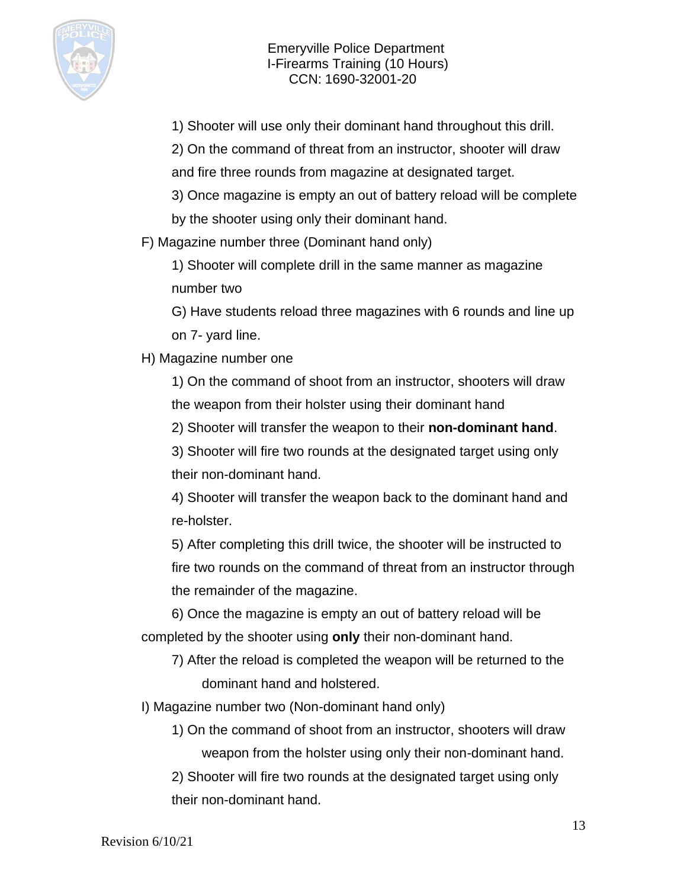

1) Shooter will use only their dominant hand throughout this drill.

2) On the command of threat from an instructor, shooter will draw and fire three rounds from magazine at designated target.

3) Once magazine is empty an out of battery reload will be complete by the shooter using only their dominant hand.

F) Magazine number three (Dominant hand only)

1) Shooter will complete drill in the same manner as magazine number two

G) Have students reload three magazines with 6 rounds and line up on 7- yard line.

H) Magazine number one

1) On the command of shoot from an instructor, shooters will draw the weapon from their holster using their dominant hand

2) Shooter will transfer the weapon to their **non-dominant hand**.

3) Shooter will fire two rounds at the designated target using only their non-dominant hand.

4) Shooter will transfer the weapon back to the dominant hand and re-holster.

5) After completing this drill twice, the shooter will be instructed to fire two rounds on the command of threat from an instructor through the remainder of the magazine.

6) Once the magazine is empty an out of battery reload will be completed by the shooter using **only** their non-dominant hand.

7) After the reload is completed the weapon will be returned to the dominant hand and holstered.

I) Magazine number two (Non-dominant hand only)

1) On the command of shoot from an instructor, shooters will draw weapon from the holster using only their non-dominant hand.

2) Shooter will fire two rounds at the designated target using only their non-dominant hand.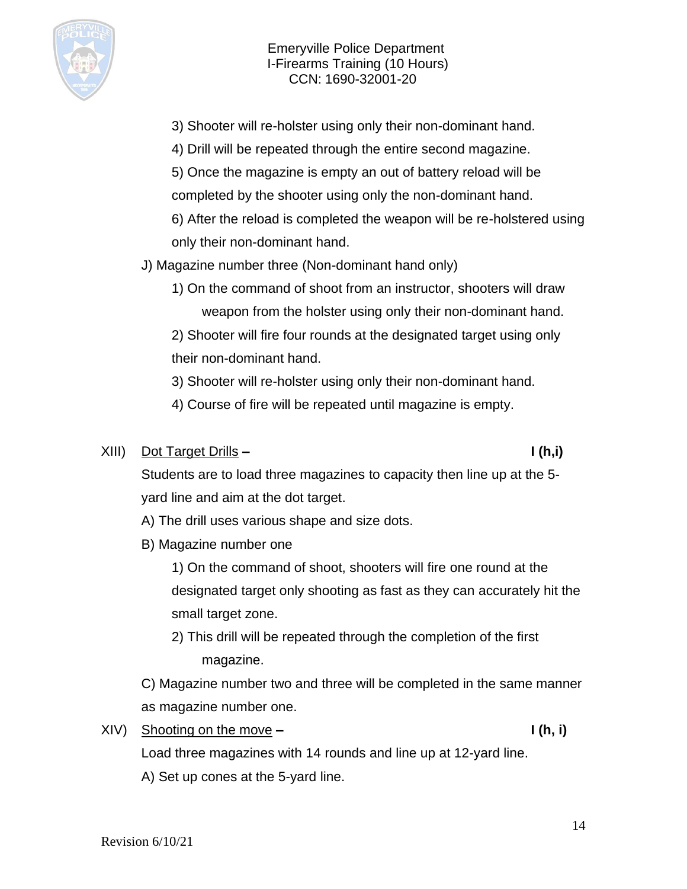

- 3) Shooter will re-holster using only their non-dominant hand.
- 4) Drill will be repeated through the entire second magazine.
- 5) Once the magazine is empty an out of battery reload will be completed by the shooter using only the non-dominant hand.
- 6) After the reload is completed the weapon will be re-holstered using only their non-dominant hand.

J) Magazine number three (Non-dominant hand only)

1) On the command of shoot from an instructor, shooters will draw weapon from the holster using only their non-dominant hand.

2) Shooter will fire four rounds at the designated target using only their non-dominant hand.

3) Shooter will re-holster using only their non-dominant hand.

4) Course of fire will be repeated until magazine is empty.

### XIII) Dot Target Drills **– I (h,i)**

Students are to load three magazines to capacity then line up at the 5 yard line and aim at the dot target.

A) The drill uses various shape and size dots.

B) Magazine number one

1) On the command of shoot, shooters will fire one round at the designated target only shooting as fast as they can accurately hit the small target zone.

2) This drill will be repeated through the completion of the first magazine.

C) Magazine number two and three will be completed in the same manner as magazine number one.

XIV) Shooting on the move **– I (h, i)**

Load three magazines with 14 rounds and line up at 12-yard line.

A) Set up cones at the 5-yard line.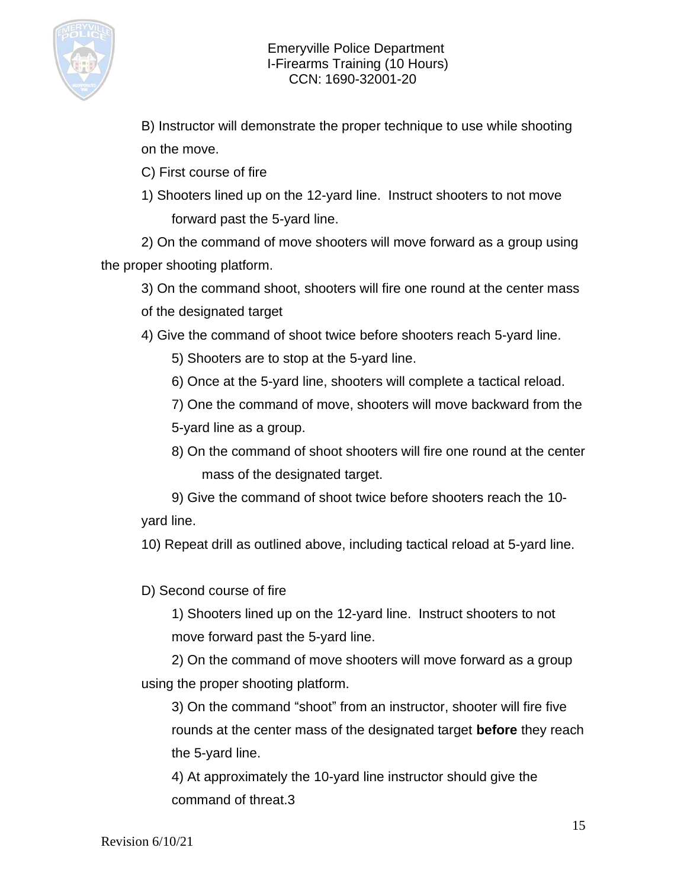

B) Instructor will demonstrate the proper technique to use while shooting on the move.

C) First course of fire

1) Shooters lined up on the 12-yard line. Instruct shooters to not move forward past the 5-yard line.

2) On the command of move shooters will move forward as a group using the proper shooting platform.

3) On the command shoot, shooters will fire one round at the center mass of the designated target

4) Give the command of shoot twice before shooters reach 5-yard line.

5) Shooters are to stop at the 5-yard line.

6) Once at the 5-yard line, shooters will complete a tactical reload.

7) One the command of move, shooters will move backward from the 5-yard line as a group.

8) On the command of shoot shooters will fire one round at the center mass of the designated target.

9) Give the command of shoot twice before shooters reach the 10 yard line.

10) Repeat drill as outlined above, including tactical reload at 5-yard line.

D) Second course of fire

1) Shooters lined up on the 12-yard line. Instruct shooters to not move forward past the 5-yard line.

2) On the command of move shooters will move forward as a group using the proper shooting platform.

3) On the command "shoot" from an instructor, shooter will fire five rounds at the center mass of the designated target **before** they reach the 5-yard line.

4) At approximately the 10-yard line instructor should give the command of threat.3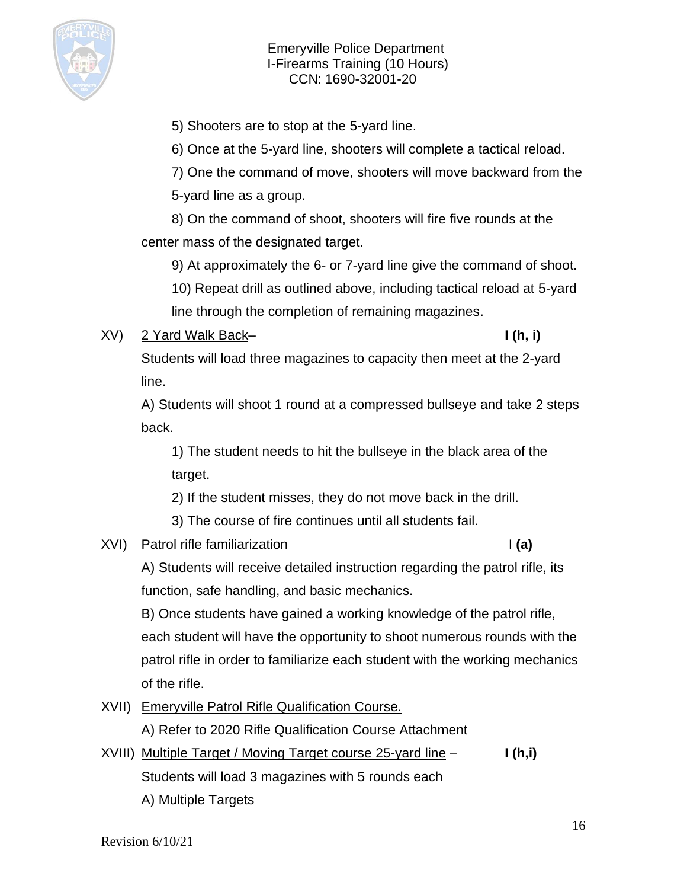

5) Shooters are to stop at the 5-yard line.

6) Once at the 5-yard line, shooters will complete a tactical reload.

7) One the command of move, shooters will move backward from the

5-yard line as a group.

8) On the command of shoot, shooters will fire five rounds at the center mass of the designated target.

9) At approximately the 6- or 7-yard line give the command of shoot.

10) Repeat drill as outlined above, including tactical reload at 5-yard

line through the completion of remaining magazines.

## XV) 2 Yard Walk Back– **I (h, i)**

Students will load three magazines to capacity then meet at the 2-yard line.

A) Students will shoot 1 round at a compressed bullseye and take 2 steps back.

1) The student needs to hit the bullseye in the black area of the target.

2) If the student misses, they do not move back in the drill.

3) The course of fire continues until all students fail.

## XVI) Patrol rifle familiarization **I (a)**

A) Students will receive detailed instruction regarding the patrol rifle, its function, safe handling, and basic mechanics.

B) Once students have gained a working knowledge of the patrol rifle, each student will have the opportunity to shoot numerous rounds with the patrol rifle in order to familiarize each student with the working mechanics of the rifle.

XVII) Emeryville Patrol Rifle Qualification Course.

A) Refer to 2020 Rifle Qualification Course Attachment

XVIII) Multiple Target / Moving Target course 25-yard line – **I (h,i)** Students will load 3 magazines with 5 rounds each A) Multiple Targets